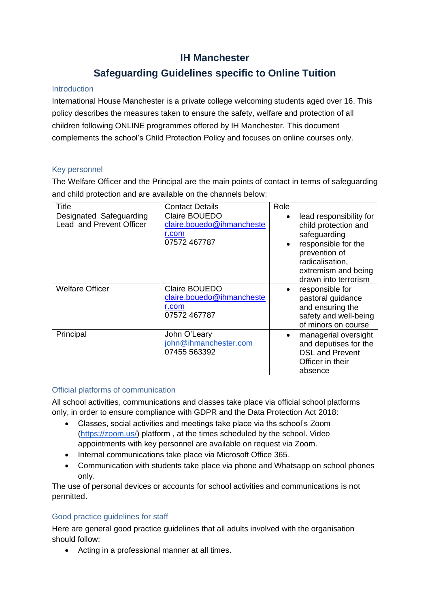## **IH Manchester**

# **Safeguarding Guidelines specific to Online Tuition**

## Introduction

International House Manchester is a private college welcoming students aged over 16. This policy describes the measures taken to ensure the safety, welfare and protection of all children following ONLINE programmes offered by IH Manchester. This document complements the school's Child Protection Policy and focuses on online courses only.

## Key personnel

The Welfare Officer and the Principal are the main points of contact in terms of safeguarding and child protection and are available on the channels below:

| Title                                               | <b>Contact Details</b>                                              | Role                                                                                                                                                                                   |
|-----------------------------------------------------|---------------------------------------------------------------------|----------------------------------------------------------------------------------------------------------------------------------------------------------------------------------------|
| Designated Safeguarding<br>Lead and Prevent Officer | Claire BOUEDO<br>claire.bouedo@ihmancheste<br>r.com<br>07572 467787 | lead responsibility for<br>$\bullet$<br>child protection and<br>safeguarding<br>responsible for the<br>prevention of<br>radicalisation,<br>extremism and being<br>drawn into terrorism |
| <b>Welfare Officer</b>                              | Claire BOUEDO<br>claire.bouedo@ihmancheste<br>r.com<br>07572 467787 | responsible for<br>pastoral guidance<br>and ensuring the<br>safety and well-being<br>of minors on course                                                                               |
| Principal                                           | John O'Leary<br>john@ihmanchester.com<br>07455 563392               | managerial oversight<br>and deputises for the<br><b>DSL and Prevent</b><br>Officer in their<br>absence                                                                                 |

#### Official platforms of communication

All school activities, communications and classes take place via official school platforms only, in order to ensure compliance with GDPR and the Data Protection Act 2018:

- Classes, social activities and meetings take place via ths school's Zoom [\(https://zoom.us/\)](https://zoom.us/) platform , at the times scheduled by the school. Video appointments with key personnel are available on request via Zoom.
- Internal communications take place via Microsoft Office 365.
- Communication with students take place via phone and Whatsapp on school phones only.

The use of personal devices or accounts for school activities and communications is not permitted.

## Good practice guidelines for staff

Here are general good practice guidelines that all adults involved with the organisation should follow:

• Acting in a professional manner at all times.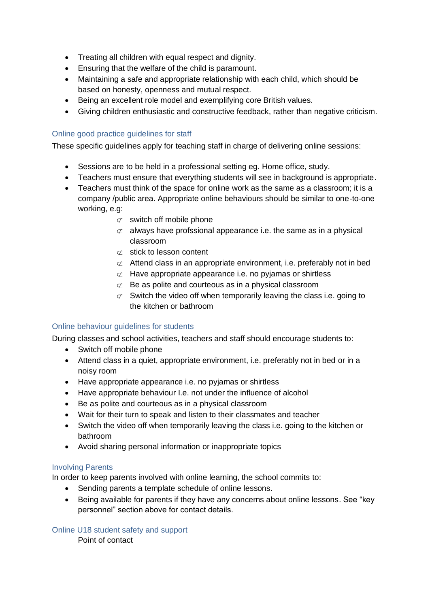- Treating all children with equal respect and dignity.
- Ensuring that the welfare of the child is paramount.
- Maintaining a safe and appropriate relationship with each child, which should be based on honesty, openness and mutual respect.
- Being an excellent role model and exemplifying core British values.
- Giving children enthusiastic and constructive feedback, rather than negative criticism.

## Online good practice guidelines for staff

These specific guidelines apply for teaching staff in charge of delivering online sessions:

- Sessions are to be held in a professional setting eg. Home office, study.
- Teachers must ensure that everything students will see in background is appropriate.
- Teachers must think of the space for online work as the same as a classroom; it is a company /public area. Appropriate online behaviours should be similar to one-to-one working, e.g:
	- $\sigma$  switch off mobile phone
	- $\sigma$  always have profssional appearance i.e. the same as in a physical classroom
	- $\sigma$  stick to lesson content
	- $\sigma$  Attend class in an appropriate environment, i.e. preferably not in bed
	- $\sigma$  Have appropriate appearance i.e. no pyjamas or shirtless
	- $\sigma$  Be as polite and courteous as in a physical classroom
	- $\sigma$  Switch the video off when temporarily leaving the class i.e. going to the kitchen or bathroom

#### Online behaviour guidelines for students

During classes and school activities, teachers and staff should encourage students to:

- Switch off mobile phone
- Attend class in a quiet, appropriate environment, i.e. preferably not in bed or in a noisy room
- Have appropriate appearance i.e. no pyjamas or shirtless
- Have appropriate behaviour I.e. not under the influence of alcohol
- Be as polite and courteous as in a physical classroom
- Wait for their turn to speak and listen to their classmates and teacher
- Switch the video off when temporarily leaving the class i.e. going to the kitchen or bathroom
- Avoid sharing personal information or inappropriate topics

#### Involving Parents

In order to keep parents involved with online learning, the school commits to:

- Sending parents a template schedule of online lessons.
- Being available for parents if they have any concerns about online lessons. See "key personnel" section above for contact details.

Online U18 student safety and support Point of contact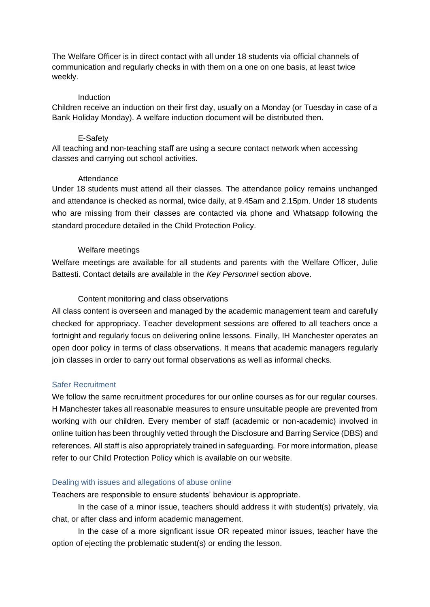The Welfare Officer is in direct contact with all under 18 students via official channels of communication and regularly checks in with them on a one on one basis, at least twice weekly.

#### **Induction**

Children receive an induction on their first day, usually on a Monday (or Tuesday in case of a Bank Holiday Monday). A welfare induction document will be distributed then.

#### E-Safety

All teaching and non-teaching staff are using a secure contact network when accessing classes and carrying out school activities.

#### **Attendance**

Under 18 students must attend all their classes. The attendance policy remains unchanged and attendance is checked as normal, twice daily, at 9.45am and 2.15pm. Under 18 students who are missing from their classes are contacted via phone and Whatsapp following the standard procedure detailed in the Child Protection Policy.

#### Welfare meetings

Welfare meetings are available for all students and parents with the Welfare Officer, Julie Battesti. Contact details are available in the *Key Personnel* section above.

## Content monitoring and class observations

All class content is overseen and managed by the academic management team and carefully checked for appropriacy. Teacher development sessions are offered to all teachers once a fortnight and regularly focus on delivering online lessons. Finally, IH Manchester operates an open door policy in terms of class observations. It means that academic managers regularly join classes in order to carry out formal observations as well as informal checks.

#### Safer Recruitment

We follow the same recruitment procedures for our online courses as for our regular courses. H Manchester takes all reasonable measures to ensure unsuitable people are prevented from working with our children. Every member of staff (academic or non-academic) involved in online tuition has been throughly vetted through the Disclosure and Barring Service (DBS) and references. All staff is also appropriately trained in safeguarding. For more information, please refer to our Child Protection Policy which is available on our website.

#### Dealing with issues and allegations of abuse online

Teachers are responsible to ensure students' behaviour is appropriate.

In the case of a minor issue, teachers should address it with student(s) privately, via chat, or after class and inform academic management.

In the case of a more signficant issue OR repeated minor issues, teacher have the option of ejecting the problematic student(s) or ending the lesson.